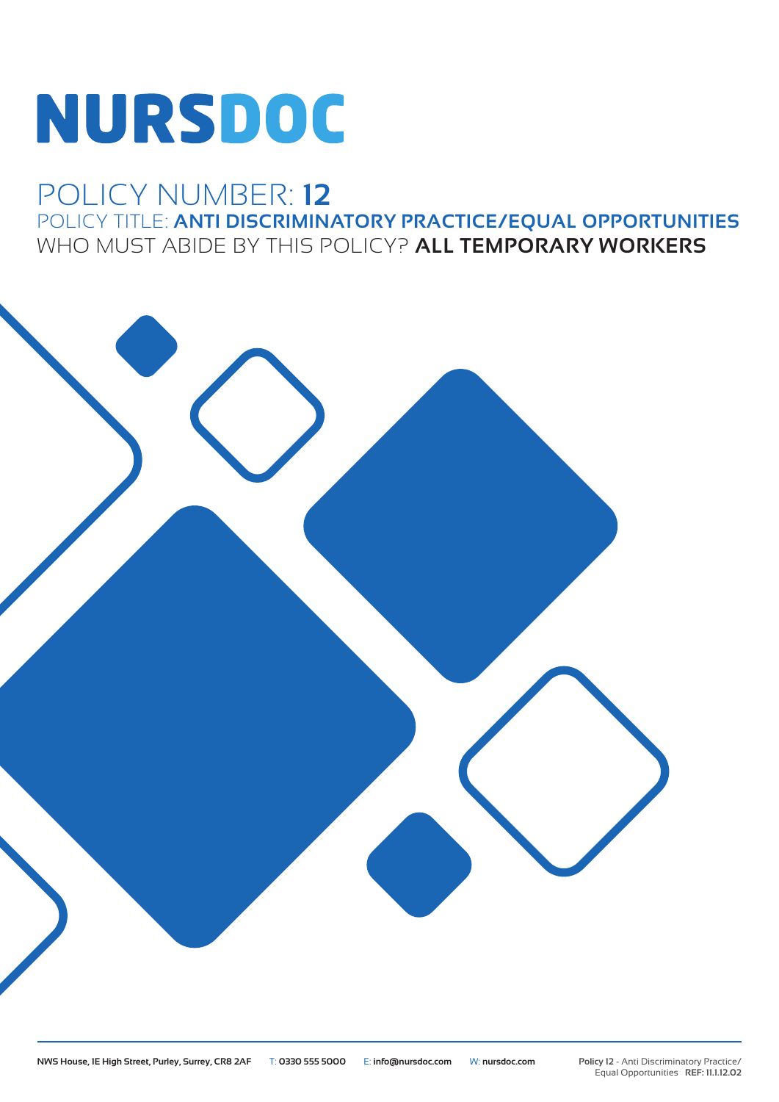# NURSDOC

## POLICY NUMBER: **12** POLICY TITLE: **ANTI DISCRIMINATORY PRACTICE/EQUAL OPPORTUNITIES** WHO MUST ABIDE BY THIS POLICY? **ALL TEMPORARY WORKERS**